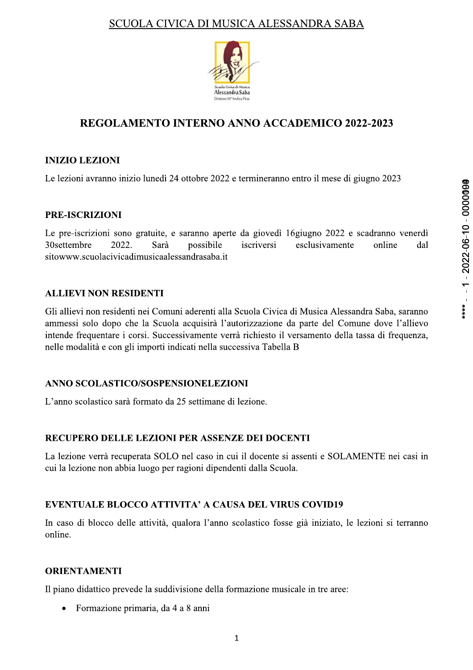

# REGOLAMENTO INTERNO ANNO ACCADEMICO 2022-2023

# **INIZIO LEZIONI**

Le lezioni avranno inizio lunedì 24 ottobre 2022 e termineranno entro il mese di giugno 2023

# **PRE-ISCRIZIONI**

Le pre-iscrizioni sono gratuite, e saranno aperte da giovedì 16 giugno 2022 e scadranno venerdì 30settembre 2022. Sarà possibile iscriversi esclusivamente online dal sitowww.scuolacivicadimusicaalessandrasaba.it

# **ALLIEVI NON RESIDENTI**

Gli allievi non residenti nei Comuni aderenti alla Scuola Civica di Musica Alessandra Saba, saranno ammessi solo dopo che la Scuola acquisirà l'autorizzazione da parte del Comune dove l'allievo intende frequentare i corsi. Successivamente verrà richiesto il versamento della tassa di frequenza, nelle modalità e con gli importi indicati nella successiva Tabella B

## ANNO SCOLASTICO/SOSPENSIONELEZIONI

L'anno scolastico sarà formato da 25 settimane di lezione.

# RECUPERO DELLE LEZIONI PER ASSENZE DEI DOCENTI

La lezione verrà recuperata SOLO nel caso in cui il docente si assenti e SOLAMENTE nei casi in cui la lezione non abbia luogo per ragioni dipendenti dalla Scuola.

# **EVENTUALE BLOCCO ATTIVITA' A CAUSA DEL VIRUS COVID19**

In caso di blocco delle attività, qualora l'anno scolastico fosse già iniziato, le lezioni si terranno online.

## **ORIENTAMENTI**

Il piano didattico prevede la suddivisione della formazione musicale in tre aree:

Formazione primaria, da 4 a 8 anni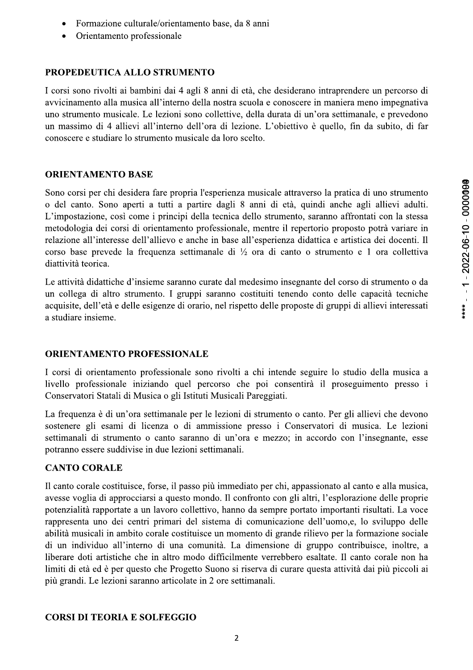Orientamento professionale

# PROPEDEUTICA ALLO STRUMENTO

I corsi sono rivolti ai bambini dai 4 agli 8 anni di età, che desiderano intraprendere un percorso di avvicinamento alla musica all'interno della nostra scuola e conoscere in maniera meno impegnativa uno strumento musicale. Le lezioni sono collettive, della durata di un'ora settimanale, e prevedono un massimo di 4 allievi all'interno dell'ora di lezione. L'obiettivo è quello, fin da subito, di far conoscere e studiare lo strumento musicale da loro scelto.

# **ORIENTAMENTO BASE**

Sono corsi per chi desidera fare propria l'esperienza musicale attraverso la pratica di uno strumento o del canto. Sono aperti a tutti a partire dagli 8 anni di età, quindi anche agli allievi adulti. L'impostazione, così come i principi della tecnica dello strumento, saranno affrontati con la stessa metodologia dei corsi di orientamento professionale, mentre il repertorio proposto potrà variare in relazione all'interesse dell'allievo e anche in base all'esperienza didattica e artistica dei docenti. Il corso base prevede la frequenza settimanale di  $\frac{1}{2}$  ora di canto o strumento e 1 ora collettiva diattività teorica.

Le attività didattiche d'insieme saranno curate dal medesimo insegnante del corso di strumento o da un collega di altro strumento. I gruppi saranno costituiti tenendo conto delle capacità tecniche acquisite, dell'età e delle esigenze di orario, nel rispetto delle proposte di gruppi di allievi interessati a studiare insieme.

# **ORIENTAMENTO PROFESSIONALE**

I corsi di orientamento professionale sono rivolti a chi intende seguire lo studio della musica a livello professionale iniziando quel percorso che poi consentirà il proseguimento presso i Conservatori Statali di Musica o gli Istituti Musicali Pareggiati.

La frequenza è di un'ora settimanale per le lezioni di strumento o canto. Per gli allievi che devono sostenere gli esami di licenza o di ammissione presso i Conservatori di musica. Le lezioni settimanali di strumento o canto saranno di un'ora e mezzo; in accordo con l'insegnante, esse potranno essere suddivise in due lezioni settimanali.

# **CANTO CORALE**

Il canto corale costituisce, forse, il passo più immediato per chi, appassionato al canto e alla musica, avesse voglia di approcciarsi a questo mondo. Il confronto con gli altri, l'esplorazione delle proprie potenzialità rapportate a un lavoro collettivo, hanno da sempre portato importanti risultati. La voce rappresenta uno dei centri primari del sistema di comunicazione dell'uomo, e, lo sviluppo delle abilità musicali in ambito corale costituisce un momento di grande rilievo per la formazione sociale di un individuo all'interno di una comunità. La dimensione di gruppo contribuisce, inoltre, a liberare doti artistiche che in altro modo difficilmente verrebbero esaltate. Il canto corale non ha limiti di età ed è per questo che Progetto Suono si riserva di curare questa attività dai più piccoli ai più grandi. Le lezioni saranno articolate in 2 ore settimanali.

# **CORSI DI TEORIA E SOLFEGGIO**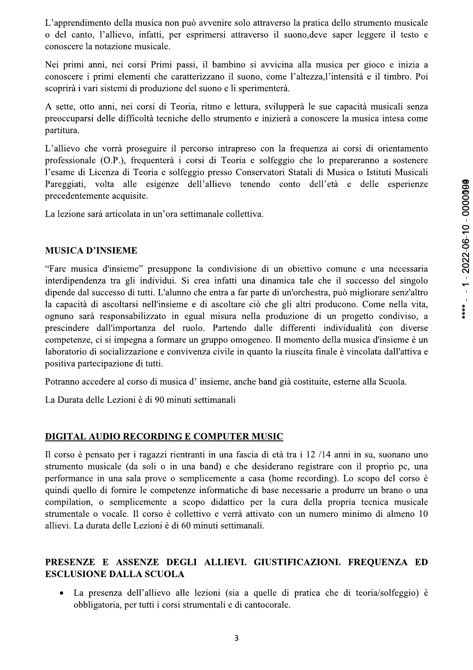L'apprendimento della musica non può avvenire solo attraverso la pratica dello strumento musicale o del canto, l'allievo, infatti, per esprimersi attraverso il suono, deve saper leggere il testo e conoscere la notazione musicale.

Nei primi anni, nei corsi Primi passi, il bambino si avvicina alla musica per gioco e inizia a conoscere i primi elementi che caratterizzano il suono, come l'altezza, l'intensità e il timbro. Poi scoprirà i vari sistemi di produzione del suono e li sperimenterà.

A sette, otto anni, nei corsi di Teoria, ritmo e lettura, svilupperà le sue capacità musicali senza preoccuparsi delle difficoltà tecniche dello strumento e inizierà a conoscere la musica intesa come partitura.

L'allievo che vorrà proseguire il percorso intrapreso con la frequenza ai corsi di orientamento professionale (O.P.), frequenterà i corsi di Teoria e solfeggio che lo prepareranno a sostenere l'esame di Licenza di Teoria e solfeggio presso Conservatori Statali di Musica o Istituti Musicali Pareggiati, volta alle esigenze dell'allievo tenendo conto dell'età e delle esperienze precedentemente acquisite.

La lezione sarà articolata in un'ora settimanale collettiva.

#### **MUSICA D'INSIEME**

"Fare musica d'insieme" presuppone la condivisione di un obiettivo comune e una necessaria interdipendenza tra gli individui. Si crea infatti una dinamica tale che il successo del singolo dipende dal successo di tutti. L'alunno che entra a far parte di un'orchestra, può migliorare senz'altro la capacità di ascoltarsi nell'insieme e di ascoltare ciò che gli altri producono. Come nella vita, ognuno sarà responsabilizzato in egual misura nella produzione di un progetto condiviso, a prescindere dall'importanza del ruolo. Partendo dalle differenti individualità con diverse competenze, ci si impegna a formare un gruppo omogeneo. Il momento della musica d'insieme è un laboratorio di socializzazione e convivenza civile in quanto la riuscita finale è vincolata dall'attiva e positiva partecipazione di tutti.

Potranno accedere al corso di musica d'insieme, anche band già costituite, esterne alla Scuola.

La Durata delle Lezioni è di 90 minuti settimanali

#### DIGITAL AUDIO RECORDING E COMPUTER MUSIC

Il corso è pensato per i ragazzi rientranti in una fascia di età tra i 12/14 anni in su, suonano uno strumento musicale (da soli o in una band) e che desiderano registrare con il proprio pc, una performance in una sala prove o semplicemente a casa (home recording). Lo scopo del corso è quindi quello di fornire le competenze informatiche di base necessarie a produrre un brano o una compilation, o semplicemente a scopo didattico per la cura della propria tecnica musicale strumentale o vocale. Il corso è collettivo e verrà attivato con un numero minimo di almeno 10 allievi. La durata delle Lezioni è di 60 minuti settimanali.

#### PRESENZE E ASSENZE DEGLI ALLIEVI. GIUSTIFICAZIONI. FREQUENZA ED **ESCLUSIONE DALLA SCUOLA**

La presenza dell'allievo alle lezioni (sia a quelle di pratica che di teoria/solfeggio) è  $\bullet$ obbligatoria, per tutti i corsi strumentali e di cantocorale.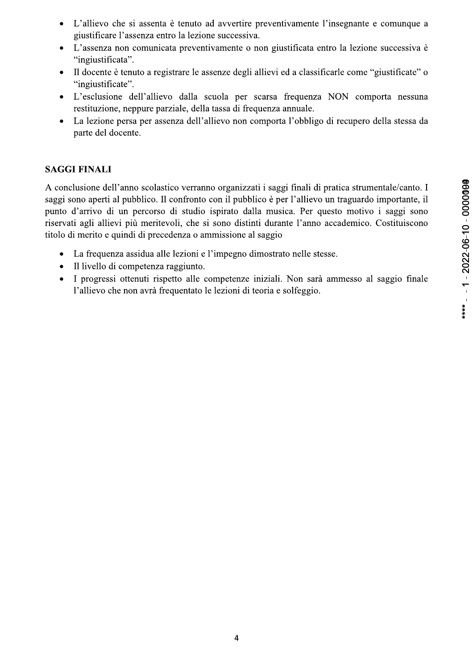- L'allievo che si assenta è tenuto ad avvertire preventivamente l'insegnante e comunque a  $\bullet$ giustificare l'assenza entro la lezione successiva.
- L'assenza non comunicata preventivamente o non giustificata entro la lezione successiva è  $\bullet$ "ingiustificata".
- Il docente è tenuto a registrare le assenze degli allievi ed a classificarle come "giustificate" o  $\bullet$ "ingiustificate".
- L'esclusione dell'allievo dalla scuola per scarsa frequenza NON comporta nessuna restituzione, neppure parziale, della tassa di frequenza annuale.
- La lezione persa per assenza dell'allievo non comporta l'obbligo di recupero della stessa da  $\bullet$ parte del docente.

# **SAGGI FINALI**

A conclusione dell'anno scolastico verranno organizzati i saggi finali di pratica strumentale/canto. I saggi sono aperti al pubblico. Il confronto con il pubblico è per l'allievo un traguardo importante, il punto d'arrivo di un percorso di studio ispirato dalla musica. Per questo motivo i saggi sono riservati agli allievi più meritevoli, che si sono distinti durante l'anno accademico. Costituiscono titolo di merito e quindi di precedenza o ammissione al saggio

- $\bullet$ La frequenza assidua alle lezioni e l'impegno dimostrato nelle stesse.
- $\bullet$ Il livello di competenza raggiunto.
- I progressi ottenuti rispetto alle competenze iniziali. Non sarà ammesso al saggio finale  $\bullet$ l'allievo che non avrà frequentato le lezioni di teoria e solfeggio.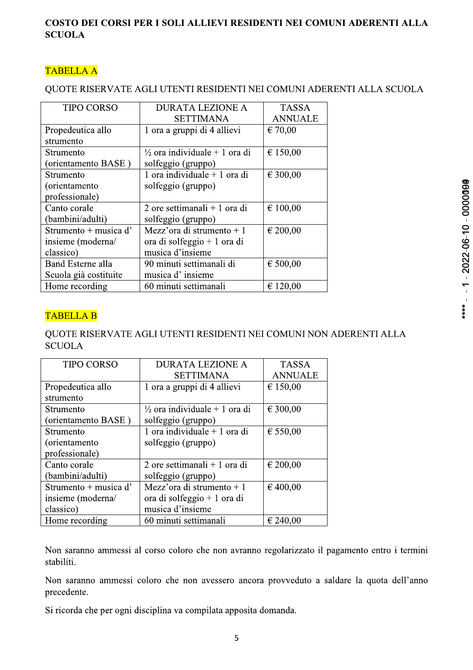## COSTO DEI CORSI PER I SOLI ALLIEVI RESIDENTI NEI COMUNI ADERENTI ALLA **SCUOLA**

# **TABELLA A**

#### QUOTE RISERVATE AGLI UTENTI RESIDENTI NEI COMUNI ADERENTI ALLA SCUOLA

| <b>TIPO CORSO</b>     | <b>DURATA LEZIONE A</b>                  | <b>TASSA</b>   |
|-----------------------|------------------------------------------|----------------|
|                       | <b>SETTIMANA</b>                         | <b>ANNUALE</b> |
| Propedeutica allo     | 1 ora a gruppi di 4 allievi              | € 70,00        |
| strumento             |                                          |                |
| Strumento             | $\frac{1}{2}$ ora individuale + 1 ora di | € 150,00       |
| (orientamento BASE)   | solfeggio (gruppo)                       |                |
| Strumento             | 1 ora individuale $+$ 1 ora di           | € 300,00       |
| (orientamento)        | solfeggio (gruppo)                       |                |
| professionale)        |                                          |                |
| Canto corale          | 2 ore settimanali + 1 ora di             | € 100,00       |
| (bambini/adulti)      | solfeggio (gruppo)                       |                |
| Strumento + musica d' | Mezz'ora di strumento + 1                | € 200,00       |
| insieme (moderna/     | ora di solfeggio + 1 ora di              |                |
| classico)             | musica d'insieme                         |                |
| Band Esterne alla     | 90 minuti settimanali di                 | € 500,00       |
| Scuola già costituite | musica d'insieme                         |                |
| Home recording        | 60 minuti settimanali                    | € 120,00       |

# **TABELLA B**

## QUOTE RISERVATE AGLI UTENTI RESIDENTI NEI COMUNI NON ADERENTI ALLA **SCUOLA**

| <b>TIPO CORSO</b>     | <b>DURATA LEZIONE A</b>                  | <b>TASSA</b>   |
|-----------------------|------------------------------------------|----------------|
|                       | <b>SETTIMANA</b>                         | <b>ANNUALE</b> |
| Propedeutica allo     | 1 ora a gruppi di 4 allievi              | € 150,00       |
| strumento             |                                          |                |
| Strumento             | $\frac{1}{2}$ ora individuale + 1 ora di | € 300,00       |
| (orientamento BASE)   | solfeggio (gruppo)                       |                |
| Strumento             | 1 ora individuale $+$ 1 ora di           | € 550,00       |
| (orientamento         | solfeggio (gruppo)                       |                |
| professionale)        |                                          |                |
| Canto corale          | 2 ore settimanali + 1 ora di             | € 200,00       |
| (bambini/adulti)      | solfeggio (gruppo)                       |                |
| Strumento + musica d' | Mezz'ora di strumento + 1                | € 400,00       |
| insieme (moderna/     | ora di solfeggio + 1 ora di              |                |
| classico)             | musica d'insieme                         |                |
| Home recording        | 60 minuti settimanali                    | € 240,00       |

Non saranno ammessi al corso coloro che non avranno regolarizzato il pagamento entro i termini stabiliti.

Non saranno ammessi coloro che non avessero ancora provveduto a saldare la quota dell'anno precedente.

Si ricorda che per ogni disciplina va compilata apposita domanda.